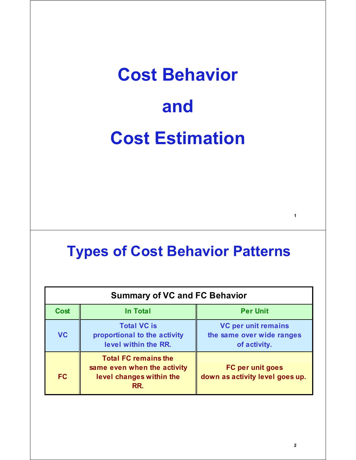# **Cost Behavior and Cost Estimation**

#### **Types of Cost Behavior Patterns**

| <b>Summary of VC and FC Behavior</b> |                                                                                               |                                                                         |  |  |  |
|--------------------------------------|-----------------------------------------------------------------------------------------------|-------------------------------------------------------------------------|--|--|--|
| <b>Cost</b>                          | <b>In Total</b>                                                                               | <b>Per Unit</b>                                                         |  |  |  |
| <b>VC</b>                            | <b>Total VC is</b><br>proportional to the activity<br>level within the RR.                    | <b>VC per unit remains</b><br>the same over wide ranges<br>of activity. |  |  |  |
| <b>FC</b>                            | <b>Total FC remains the</b><br>same even when the activity<br>level changes within the<br>RR. | FC per unit goes<br>down as activity level goes up.                     |  |  |  |

**1**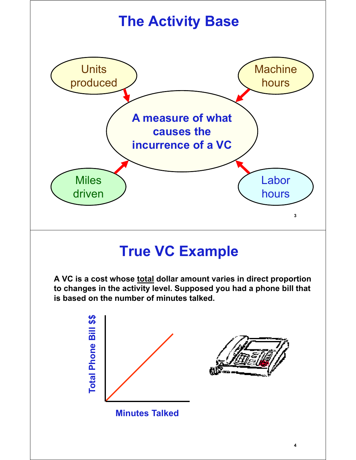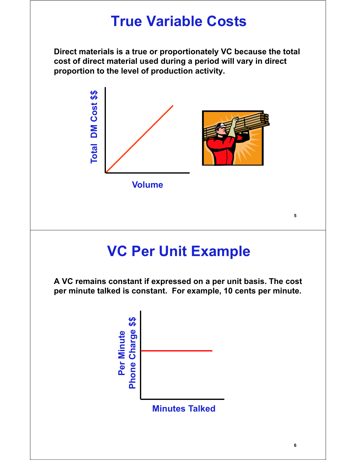#### **True Variable Costs**

**Direct materials is a true or proportionately VC because the total cost of direct material used during a period will vary in direct proportion to the level of production activity.**



#### **VC Per Unit Example**

**A VC remains constant if expressed on a per unit basis. The cost per minute talked is constant. For example, 10 cents per minute.** 

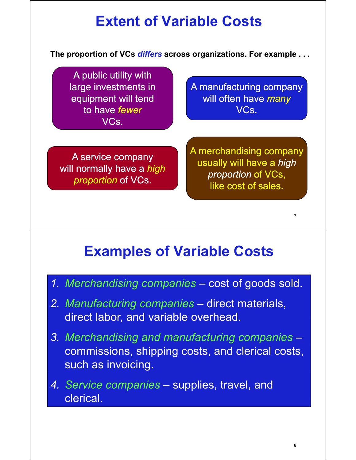## **Extent of Variable Costs**

**The proportion of VCs** *differs* **across organizations. For example . . .** 

A public utility with equipment will tend to have *fewer* VCs.

large investments in **A** manufacturing company will often have *many* VCs.

will normally have a *high proportion* of VCs.

A merchandising company usually will have a *high* A service company *proportion* of VCs, like cost of sales.

#### **Examples of Variable Costs**

- *1. Merchandising companies* cost of goods sold.
- *2. Manufacturing companies* direct materials, direct labor, and variable overhead.
- *3. Merchandising and manufacturing companies* commissions, shipping costs, and clerical costs, such as invoicing.
- *4. Service companies* supplies, travel, and clerical.

**7**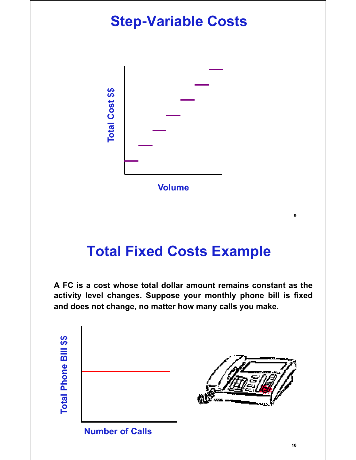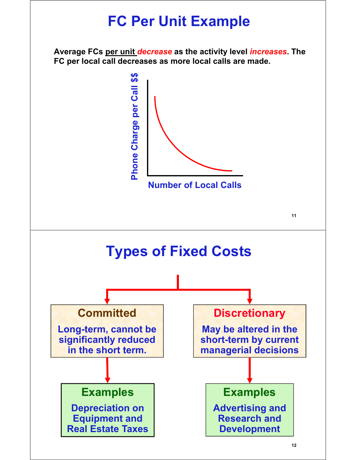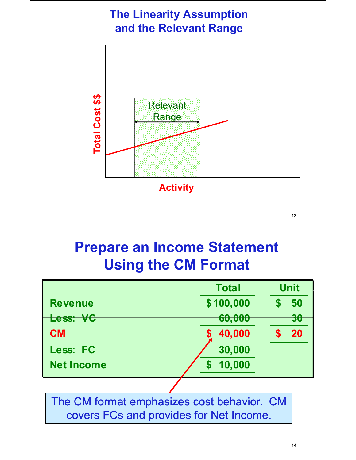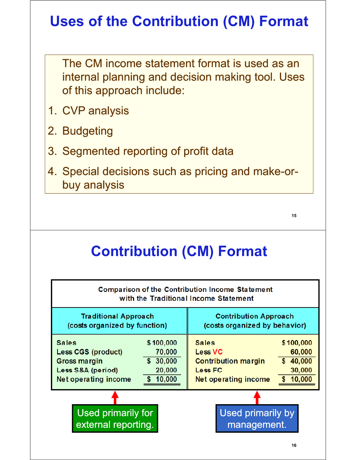# **Uses of the Contribution (CM) Format**

The CM income statement format is used as an internal planning and decision making tool. Uses of this approach include:

- 1. CVP analysis
- 2. Budgeting
- 3. Segmented reporting of profit data
- 4. Special decisions such as pricing and make-orbuy analysis

**15**

# **Contribution (CM) Format**

| Comparison of the Contribution Income Statement<br>with the Traditional Income Statement                                                                 |                                                                                                                                                                                |  |  |  |  |
|----------------------------------------------------------------------------------------------------------------------------------------------------------|--------------------------------------------------------------------------------------------------------------------------------------------------------------------------------|--|--|--|--|
| <b>Traditional Approach</b>                                                                                                                              | <b>Contribution Approach</b>                                                                                                                                                   |  |  |  |  |
| (costs organized by function)                                                                                                                            | (costs organized by behavior)                                                                                                                                                  |  |  |  |  |
| \$100,000<br><b>Sales</b><br>70,000<br>Less CGS (product)<br>\$30,000<br>Gross margin<br>20,000<br>Less S&A (period)<br>\$10,000<br>Net operating income | <b>Sales</b><br>\$100,000<br><b>Less VC</b><br>60,000<br>\$40,000<br><b>Contribution margin</b><br><b>Less FC</b><br>30,000<br>10,000<br>Net operating income<br>$\mathbf{\$}$ |  |  |  |  |
| Used primarily for                                                                                                                                       | Used primarily by                                                                                                                                                              |  |  |  |  |
| external reporting.                                                                                                                                      | management.                                                                                                                                                                    |  |  |  |  |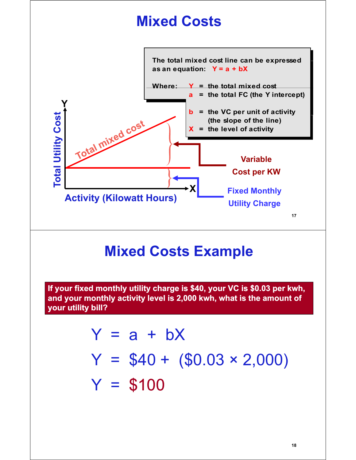

#### **Mixed Costs Example**

**If your fixed monthly utility charge is \$40, your VC is \$0.03 per kwh, and your monthly activity level is 2,000 kwh, what is the amount of , your utility bill?**

$$
Y = a + bX
$$
  
Y = \$40 + (\$0.03 × 2,000)  
Y = \$100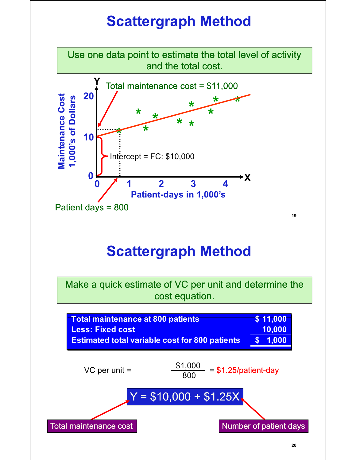## **Scattergraph Method**

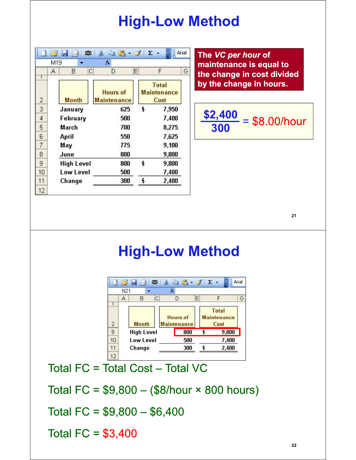#### **High-Low Method**

|    | M19<br>Α | C<br>в            | fx<br>Ε<br>D                          | F                                          | G |
|----|----------|-------------------|---------------------------------------|--------------------------------------------|---|
| 2  |          | <b>Month</b>      | <b>Hours of</b><br><b>Maintenance</b> | <b>Total</b><br><b>Maintenance</b><br>Cost |   |
| 3  |          | January           | 625                                   | \$<br>7,950                                |   |
| 4  |          | February          | 500                                   | 7,400                                      |   |
| 5  |          | March             | 700                                   | 8,275                                      |   |
| 6  |          | April             | 550                                   | 7,625                                      |   |
| 7  |          | May               | 775                                   | 9,100                                      |   |
| 8  |          | June              | 800                                   | 9,800                                      |   |
| 9  |          | <b>High Level</b> | 800                                   | \$<br>9,800                                |   |
| 10 |          | <b>Low Level</b>  | 500                                   | 7,400                                      |   |
| 11 |          | Change            | 300                                   | \$<br>2,400                                |   |

**The** *VC per hour* **of maintenance is equal to the change in cost divided**  by the change in hours.

$$
\frac{\$2,400}{300} = \$8.00/hour
$$

**21**

#### **High-Low Method**



Total  $FC = Total Cost - Total VC$ 

Total FC =  $$9,800 - ($8/hour \times 800 hours)$ 

Total FC =  $$9,800 - $6,400$ 

Total FC = \$3,400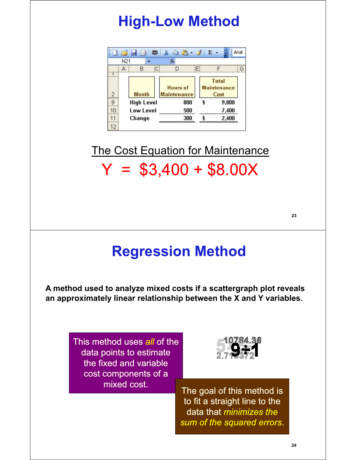## **High-Low Method**

|    |     | <u>BLA</u><br>Ф   |   | $\begin{array}{c c c c c c} \hline \textbf{a} & \textbf{b} & \textbf{c} & \textbf{c} \end{array}$ |   |                                            | Arial |
|----|-----|-------------------|---|---------------------------------------------------------------------------------------------------|---|--------------------------------------------|-------|
|    | N21 |                   |   | fx                                                                                                |   |                                            |       |
|    | A   | В                 | С | D                                                                                                 | Ε | F                                          | G     |
| 2  |     | <b>Month</b>      |   | <b>Hours of</b><br><b>Maintenance</b>                                                             |   | <b>Total</b><br><b>Maintenance</b><br>Cost |       |
| 9  |     | <b>High Level</b> |   | 800                                                                                               |   | 9,800                                      |       |
| 10 |     | Low Level         |   | 500                                                                                               |   | 7,400                                      |       |
| 11 |     | Change            |   | 300                                                                                               |   | 2,400                                      |       |
| 12 |     |                   |   |                                                                                                   |   |                                            |       |

 $Y = $3,400 + $8.00X$ The Cost Equation for Maintenance

**23**

#### **Regression Method**

**A method used to analyze mixed costs if a scattergraph plot reveals an approximately linear relationship between the X and Y variables.**

> This method uses *all* of the data points to estimate the fixed and variable cost components of a



mixed cost. The goal of this method is to fit a straight line to the data that *minimizes the sum of the squared errors*.